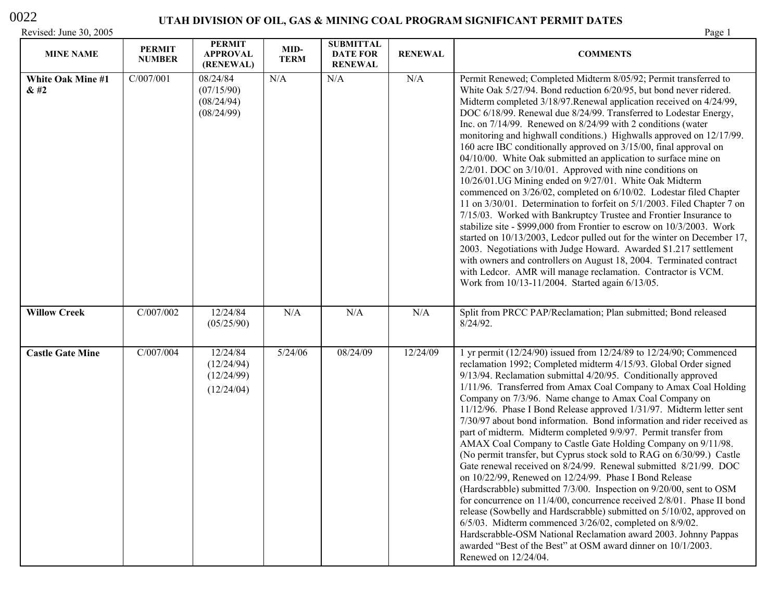### 0022

| Revised: June 30, 2005    |                                |                                                    |                     |                                                       |                | Page 1                                                                                                                                                                                                                                                                                                                                                                                                                                                                                                                                                                                                                                                                                                                                                                                                                                                                                                                                                                                                                                                                                                                                                                                                                                                                                                                                 |
|---------------------------|--------------------------------|----------------------------------------------------|---------------------|-------------------------------------------------------|----------------|----------------------------------------------------------------------------------------------------------------------------------------------------------------------------------------------------------------------------------------------------------------------------------------------------------------------------------------------------------------------------------------------------------------------------------------------------------------------------------------------------------------------------------------------------------------------------------------------------------------------------------------------------------------------------------------------------------------------------------------------------------------------------------------------------------------------------------------------------------------------------------------------------------------------------------------------------------------------------------------------------------------------------------------------------------------------------------------------------------------------------------------------------------------------------------------------------------------------------------------------------------------------------------------------------------------------------------------|
| <b>MINE NAME</b>          | <b>PERMIT</b><br><b>NUMBER</b> | <b>PERMIT</b><br><b>APPROVAL</b><br>(RENEWAL)      | MID-<br><b>TERM</b> | <b>SUBMITTAL</b><br><b>DATE FOR</b><br><b>RENEWAL</b> | <b>RENEWAL</b> | <b>COMMENTS</b>                                                                                                                                                                                                                                                                                                                                                                                                                                                                                                                                                                                                                                                                                                                                                                                                                                                                                                                                                                                                                                                                                                                                                                                                                                                                                                                        |
| White Oak Mine #1<br>& 42 | C/007/001                      | 08/24/84<br>(07/15/90)<br>(08/24/94)<br>(08/24/99) | N/A                 | N/A                                                   | N/A            | Permit Renewed; Completed Midterm 8/05/92; Permit transferred to<br>White Oak 5/27/94. Bond reduction 6/20/95, but bond never ridered.<br>Midterm completed 3/18/97. Renewal application received on 4/24/99,<br>DOC 6/18/99. Renewal due 8/24/99. Transferred to Lodestar Energy,<br>Inc. on 7/14/99. Renewed on 8/24/99 with 2 conditions (water<br>monitoring and highwall conditions.) Highwalls approved on 12/17/99.<br>160 acre IBC conditionally approved on 3/15/00, final approval on<br>04/10/00. White Oak submitted an application to surface mine on<br>$2/2/01$ . DOC on $3/10/01$ . Approved with nine conditions on<br>10/26/01.UG Mining ended on 9/27/01. White Oak Midterm<br>commenced on 3/26/02, completed on 6/10/02. Lodestar filed Chapter<br>11 on 3/30/01. Determination to forfeit on 5/1/2003. Filed Chapter 7 on<br>7/15/03. Worked with Bankruptcy Trustee and Frontier Insurance to<br>stabilize site - \$999,000 from Frontier to escrow on 10/3/2003. Work<br>started on 10/13/2003, Ledcor pulled out for the winter on December 17,<br>2003. Negotiations with Judge Howard. Awarded \$1.217 settlement<br>with owners and controllers on August 18, 2004. Terminated contract<br>with Ledcor. AMR will manage reclamation. Contractor is VCM.<br>Work from 10/13-11/2004. Started again 6/13/05. |
| <b>Willow Creek</b>       | C/007/002                      | 12/24/84<br>(05/25/90)                             | N/A                 | N/A                                                   | N/A            | Split from PRCC PAP/Reclamation; Plan submitted; Bond released<br>$8/24/92$ .                                                                                                                                                                                                                                                                                                                                                                                                                                                                                                                                                                                                                                                                                                                                                                                                                                                                                                                                                                                                                                                                                                                                                                                                                                                          |
| <b>Castle Gate Mine</b>   | C/007/004                      | 12/24/84<br>(12/24/94)<br>(12/24/99)<br>(12/24/04) | 5/24/06             | 08/24/09                                              | 12/24/09       | 1 yr permit (12/24/90) issued from 12/24/89 to 12/24/90; Commenced<br>reclamation 1992; Completed midterm 4/15/93. Global Order signed<br>9/13/94. Reclamation submittal 4/20/95. Conditionally approved<br>1/11/96. Transferred from Amax Coal Company to Amax Coal Holding<br>Company on 7/3/96. Name change to Amax Coal Company on<br>11/12/96. Phase I Bond Release approved 1/31/97. Midterm letter sent<br>7/30/97 about bond information. Bond information and rider received as<br>part of midterm. Midterm completed 9/9/97. Permit transfer from<br>AMAX Coal Company to Castle Gate Holding Company on 9/11/98.<br>(No permit transfer, but Cyprus stock sold to RAG on 6/30/99.) Castle<br>Gate renewal received on $8/24/99$ . Renewal submitted $8/21/99$ . DOC<br>on 10/22/99, Renewed on 12/24/99. Phase I Bond Release<br>(Hardscrabble) submitted 7/3/00. Inspection on 9/20/00, sent to OSM<br>for concurrence on 11/4/00, concurrence received 2/8/01. Phase II bond<br>release (Sowbelly and Hardscrabble) submitted on 5/10/02, approved on<br>$6/5/03$ . Midterm commenced $3/26/02$ , completed on $8/9/02$ .<br>Hardscrabble-OSM National Reclamation award 2003. Johnny Pappas<br>awarded "Best of the Best" at OSM award dinner on 10/1/2003.<br>Renewed on 12/24/04.                                      |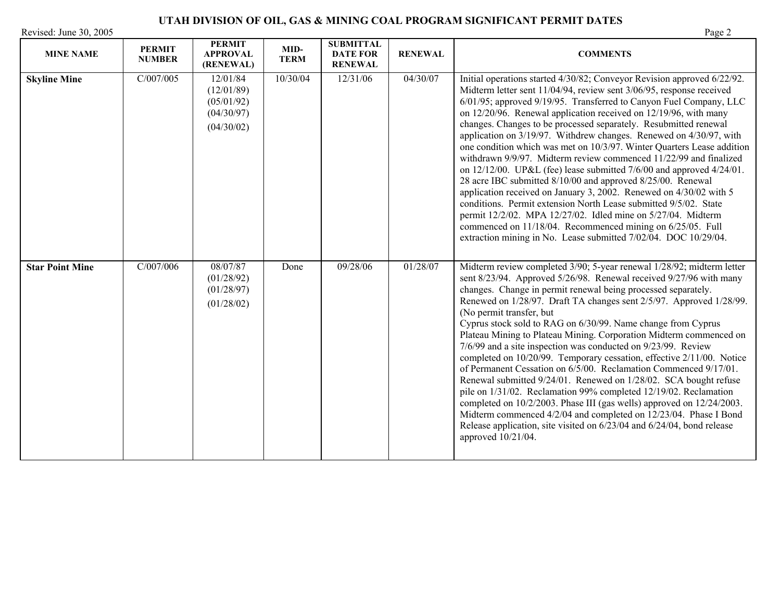| Revised: June 30, 2005 |                                |                                                                  |                     | Page 2                                                |                |                                                                                                                                                                                                                                                                                                                                                                                                                                                                                                                                                                                                                                                                                                                                                                                                                                                                                                                                                                                                                                                                              |
|------------------------|--------------------------------|------------------------------------------------------------------|---------------------|-------------------------------------------------------|----------------|------------------------------------------------------------------------------------------------------------------------------------------------------------------------------------------------------------------------------------------------------------------------------------------------------------------------------------------------------------------------------------------------------------------------------------------------------------------------------------------------------------------------------------------------------------------------------------------------------------------------------------------------------------------------------------------------------------------------------------------------------------------------------------------------------------------------------------------------------------------------------------------------------------------------------------------------------------------------------------------------------------------------------------------------------------------------------|
| <b>MINE NAME</b>       | <b>PERMIT</b><br><b>NUMBER</b> | <b>PERMIT</b><br><b>APPROVAL</b><br>(RENEWAL)                    | MID-<br><b>TERM</b> | <b>SUBMITTAL</b><br><b>DATE FOR</b><br><b>RENEWAL</b> | <b>RENEWAL</b> | <b>COMMENTS</b>                                                                                                                                                                                                                                                                                                                                                                                                                                                                                                                                                                                                                                                                                                                                                                                                                                                                                                                                                                                                                                                              |
| <b>Skyline Mine</b>    | C/007/005                      | 12/01/84<br>(12/01/89)<br>(05/01/92)<br>(04/30/97)<br>(04/30/02) | 10/30/04            | 12/31/06                                              | 04/30/07       | Initial operations started 4/30/82; Conveyor Revision approved 6/22/92.<br>Midterm letter sent 11/04/94, review sent 3/06/95, response received<br>6/01/95; approved 9/19/95. Transferred to Canyon Fuel Company, LLC<br>on 12/20/96. Renewal application received on 12/19/96, with many<br>changes. Changes to be processed separately. Resubmitted renewal<br>application on 3/19/97. Withdrew changes. Renewed on 4/30/97, with<br>one condition which was met on 10/3/97. Winter Quarters Lease addition<br>withdrawn 9/9/97. Midterm review commenced 11/22/99 and finalized<br>on $12/12/00$ . UP&L (fee) lease submitted $7/6/00$ and approved $4/24/01$ .<br>28 acre IBC submitted 8/10/00 and approved 8/25/00. Renewal<br>application received on January 3, 2002. Renewed on 4/30/02 with 5<br>conditions. Permit extension North Lease submitted 9/5/02. State<br>permit 12/2/02. MPA 12/27/02. Idled mine on 5/27/04. Midterm<br>commenced on 11/18/04. Recommenced mining on 6/25/05. Full<br>extraction mining in No. Lease submitted 7/02/04. DOC 10/29/04. |
| <b>Star Point Mine</b> | C/007/006                      | 08/07/87<br>(01/28/92)<br>(01/28/97)<br>(01/28/02)               | Done                | 09/28/06                                              | 01/28/07       | Midterm review completed 3/90; 5-year renewal 1/28/92; midterm letter<br>sent 8/23/94. Approved 5/26/98. Renewal received 9/27/96 with many<br>changes. Change in permit renewal being processed separately.<br>Renewed on 1/28/97. Draft TA changes sent 2/5/97. Approved 1/28/99.<br>(No permit transfer, but<br>Cyprus stock sold to RAG on 6/30/99. Name change from Cyprus<br>Plateau Mining to Plateau Mining. Corporation Midterm commenced on<br>7/6/99 and a site inspection was conducted on 9/23/99. Review<br>completed on 10/20/99. Temporary cessation, effective 2/11/00. Notice<br>of Permanent Cessation on 6/5/00. Reclamation Commenced 9/17/01.<br>Renewal submitted 9/24/01. Renewed on 1/28/02. SCA bought refuse<br>pile on 1/31/02. Reclamation 99% completed 12/19/02. Reclamation<br>completed on 10/2/2003. Phase III (gas wells) approved on 12/24/2003.<br>Midterm commenced 4/2/04 and completed on 12/23/04. Phase I Bond<br>Release application, site visited on 6/23/04 and 6/24/04, bond release<br>approved 10/21/04.                     |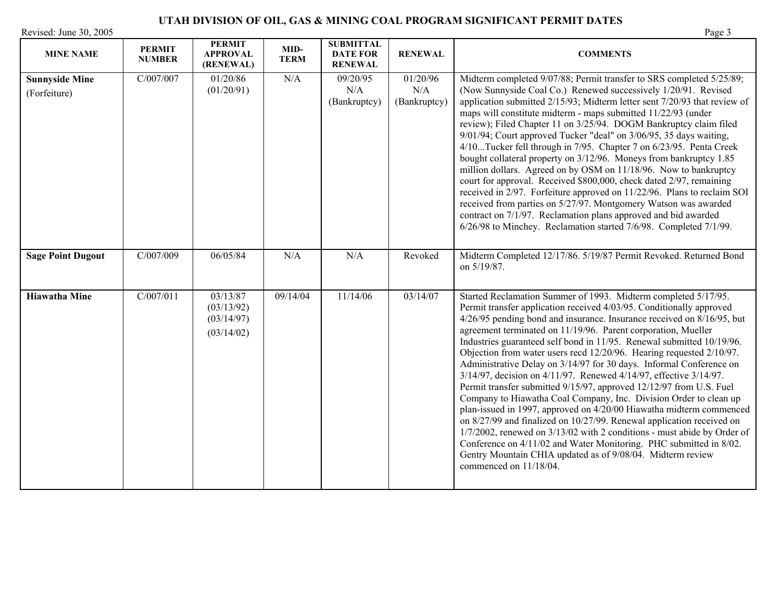| Revised: June 30, 2005                |                                | <b>PERMIT</b>                                      |                     | <b>SUBMITTAL</b>                  |                                 | Page 3                                                                                                                                                                                                                                                                                                                                                                                                                                                                                                                                                                                                                                                                                                                                                                                                                                                                                                                                                                                                      |
|---------------------------------------|--------------------------------|----------------------------------------------------|---------------------|-----------------------------------|---------------------------------|-------------------------------------------------------------------------------------------------------------------------------------------------------------------------------------------------------------------------------------------------------------------------------------------------------------------------------------------------------------------------------------------------------------------------------------------------------------------------------------------------------------------------------------------------------------------------------------------------------------------------------------------------------------------------------------------------------------------------------------------------------------------------------------------------------------------------------------------------------------------------------------------------------------------------------------------------------------------------------------------------------------|
| <b>MINE NAME</b>                      | <b>PERMIT</b><br><b>NUMBER</b> | <b>APPROVAL</b><br>(RENEWAL)                       | MID-<br><b>TERM</b> | <b>DATE FOR</b><br><b>RENEWAL</b> | <b>RENEWAL</b>                  | <b>COMMENTS</b>                                                                                                                                                                                                                                                                                                                                                                                                                                                                                                                                                                                                                                                                                                                                                                                                                                                                                                                                                                                             |
| <b>Sunnyside Mine</b><br>(Forfeiture) | C/007/007                      | 01/20/86<br>(01/20/91)                             | N/A                 | 09/20/95<br>N/A<br>(Bankruptcy)   | 01/20/96<br>N/A<br>(Bankruptcy) | Midterm completed 9/07/88; Permit transfer to SRS completed 5/25/89;<br>(Now Sunnyside Coal Co.) Renewed successively 1/20/91. Revised<br>application submitted 2/15/93; Midterm letter sent 7/20/93 that review of<br>maps will constitute midterm - maps submitted 11/22/93 (under<br>review); Filed Chapter 11 on 3/25/94. DOGM Bankruptcy claim filed<br>9/01/94; Court approved Tucker "deal" on 3/06/95, 35 days waiting,<br>4/10Tucker fell through in 7/95. Chapter 7 on 6/23/95. Penta Creek<br>bought collateral property on 3/12/96. Moneys from bankruptcy 1.85<br>million dollars. Agreed on by OSM on 11/18/96. Now to bankruptcy<br>court for approval. Received \$800,000, check dated 2/97, remaining<br>received in 2/97. Forfeiture approved on 11/22/96. Plans to reclaim SOI<br>received from parties on 5/27/97. Montgomery Watson was awarded<br>contract on 7/1/97. Reclamation plans approved and bid awarded<br>6/26/98 to Minchey. Reclamation started 7/6/98. Completed 7/1/99. |
| <b>Sage Point Dugout</b>              | C/007/009                      | 06/05/84                                           | N/A                 | N/A                               | Revoked                         | Midterm Completed 12/17/86. 5/19/87 Permit Revoked. Returned Bond<br>on 5/19/87.                                                                                                                                                                                                                                                                                                                                                                                                                                                                                                                                                                                                                                                                                                                                                                                                                                                                                                                            |
| <b>Hiawatha Mine</b>                  | C/007/011                      | 03/13/87<br>(03/13/92)<br>(03/14/97)<br>(03/14/02) | 09/14/04            | 11/14/06                          | 03/14/07                        | Started Reclamation Summer of 1993. Midterm completed 5/17/95.<br>Permit transfer application received 4/03/95. Conditionally approved<br>4/26/95 pending bond and insurance. Insurance received on 8/16/95, but<br>agreement terminated on 11/19/96. Parent corporation, Mueller<br>Industries guaranteed self bond in 11/95. Renewal submitted 10/19/96.<br>Objection from water users recd 12/20/96. Hearing requested 2/10/97.<br>Administrative Delay on 3/14/97 for 30 days. Informal Conference on<br>3/14/97, decision on 4/11/97. Renewed 4/14/97, effective 3/14/97.<br>Permit transfer submitted 9/15/97, approved 12/12/97 from U.S. Fuel<br>Company to Hiawatha Coal Company, Inc. Division Order to clean up                                                                                                                                                                                                                                                                                  |

plan-issued in 1997, approved on 4/20/00 Hiawatha midterm commenced on 8/27/99 and finalized on 10/27/99. Renewal application received on 1/7/2002, renewed on 3/13/02 with 2 conditions - must abide by Order of Conference on 4/11/02 and Water Monitoring. PHC submitted in 8/02. Gentry Mountain CHIA updated as of 9/08/04. Midterm review

commenced on 11/18/04.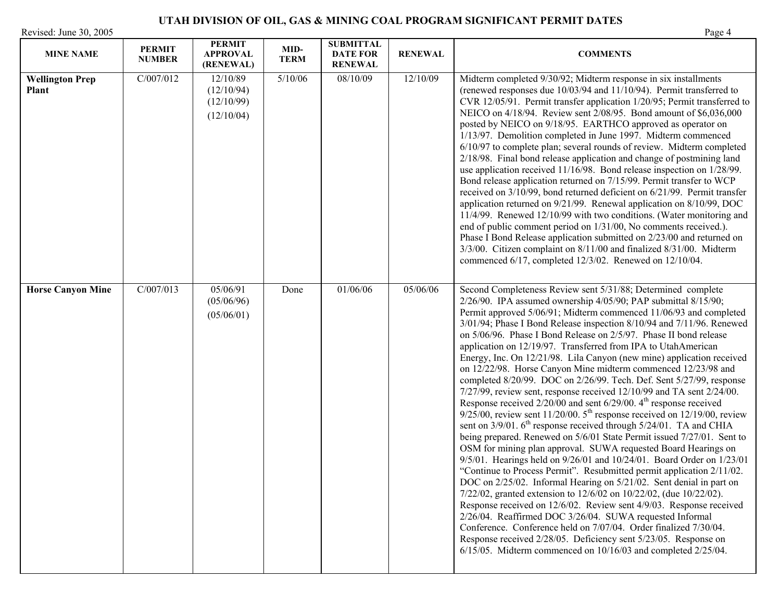# **UTAH DIVISION OF OIL, GAS & MINING COAL PROGRAM SIGNIFICANT PERMIT DATES**  Revised: June 30, 2005

| <b>MINE NAME</b>                       | <b>PERMIT</b><br><b>NUMBER</b> | <b>PERMIT</b><br><b>APPROVAL</b><br>(RENEWAL)      | MID-<br><b>TERM</b> | <b>SUBMITTAL</b><br><b>DATE FOR</b><br><b>RENEWAL</b> | <b>RENEWAL</b> | <b>COMMENTS</b>                                                                                                                                                                                                                                                                                                                                                                                                                                                                                                                                                                                                                                                                                                                                                                                                                                                                                                                                                                                                                                                                                                                                                                                                                                                                                                                                                                                                                                                                                                                                                                                                                                                                                                                                                                       |
|----------------------------------------|--------------------------------|----------------------------------------------------|---------------------|-------------------------------------------------------|----------------|---------------------------------------------------------------------------------------------------------------------------------------------------------------------------------------------------------------------------------------------------------------------------------------------------------------------------------------------------------------------------------------------------------------------------------------------------------------------------------------------------------------------------------------------------------------------------------------------------------------------------------------------------------------------------------------------------------------------------------------------------------------------------------------------------------------------------------------------------------------------------------------------------------------------------------------------------------------------------------------------------------------------------------------------------------------------------------------------------------------------------------------------------------------------------------------------------------------------------------------------------------------------------------------------------------------------------------------------------------------------------------------------------------------------------------------------------------------------------------------------------------------------------------------------------------------------------------------------------------------------------------------------------------------------------------------------------------------------------------------------------------------------------------------|
| <b>Wellington Prep</b><br><b>Plant</b> | C/007/012                      | 12/10/89<br>(12/10/94)<br>(12/10/99)<br>(12/10/04) | 5/10/06             | 08/10/09                                              | 12/10/09       | Midterm completed 9/30/92; Midterm response in six installments<br>(renewed responses due 10/03/94 and 11/10/94). Permit transferred to<br>CVR 12/05/91. Permit transfer application 1/20/95; Permit transferred to<br>NEICO on 4/18/94. Review sent 2/08/95. Bond amount of \$6,036,000<br>posted by NEICO on 9/18/95. EARTHCO approved as operator on<br>1/13/97. Demolition completed in June 1997. Midterm commenced<br>6/10/97 to complete plan; several rounds of review. Midterm completed<br>2/18/98. Final bond release application and change of postmining land<br>use application received 11/16/98. Bond release inspection on 1/28/99.<br>Bond release application returned on 7/15/99. Permit transfer to WCP<br>received on 3/10/99, bond returned deficient on 6/21/99. Permit transfer<br>application returned on 9/21/99. Renewal application on 8/10/99, DOC<br>11/4/99. Renewed 12/10/99 with two conditions. (Water monitoring and<br>end of public comment period on 1/31/00, No comments received.).<br>Phase I Bond Release application submitted on 2/23/00 and returned on<br>3/3/00. Citizen complaint on 8/11/00 and finalized 8/31/00. Midterm<br>commenced 6/17, completed 12/3/02. Renewed on 12/10/04.                                                                                                                                                                                                                                                                                                                                                                                                                                                                                                                                               |
| <b>Horse Canyon Mine</b>               | C/007/013                      | 05/06/91<br>(05/06/96)<br>(05/06/01)               | Done                | 01/06/06                                              | 05/06/06       | Second Completeness Review sent 5/31/88; Determined complete<br>$2/26/90$ . IPA assumed ownership $4/05/90$ ; PAP submittal $8/15/90$ ;<br>Permit approved 5/06/91; Midterm commenced 11/06/93 and completed<br>3/01/94; Phase I Bond Release inspection 8/10/94 and 7/11/96. Renewed<br>on 5/06/96. Phase I Bond Release on 2/5/97. Phase II bond release<br>application on 12/19/97. Transferred from IPA to UtahAmerican<br>Energy, Inc. On 12/21/98. Lila Canyon (new mine) application received<br>on 12/22/98. Horse Canyon Mine midterm commenced 12/23/98 and<br>completed 8/20/99. DOC on 2/26/99. Tech. Def. Sent 5/27/99, response<br>$7/27/99$ , review sent, response received $12/10/99$ and TA sent $2/24/00$ .<br>Response received $2/20/00$ and sent $6/29/00$ . $4th$ response received<br>$9/25/00$ , review sent 11/20/00. 5 <sup>th</sup> response received on 12/19/00, review<br>sent on 3/9/01. 6 <sup>th</sup> response received through 5/24/01. TA and CHIA<br>being prepared. Renewed on 5/6/01 State Permit issued 7/27/01. Sent to<br>OSM for mining plan approval. SUWA requested Board Hearings on<br>9/5/01. Hearings held on 9/26/01 and 10/24/01. Board Order on 1/23/01<br>"Continue to Process Permit". Resubmitted permit application 2/11/02.<br>DOC on 2/25/02. Informal Hearing on 5/21/02. Sent denial in part on<br>7/22/02, granted extension to 12/6/02 on 10/22/02, (due 10/22/02).<br>Response received on 12/6/02. Review sent 4/9/03. Response received<br>2/26/04. Reaffirmed DOC 3/26/04. SUWA requested Informal<br>Conference. Conference held on 7/07/04. Order finalized 7/30/04.<br>Response received 2/28/05. Deficiency sent 5/23/05. Response on<br>$6/15/05$ . Midterm commenced on $10/16/03$ and completed $2/25/04$ . |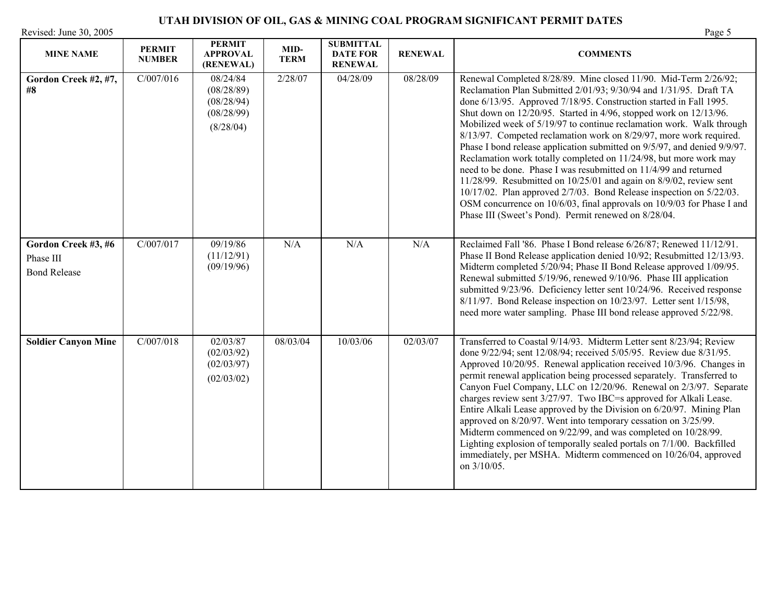| Revised: June 30, 2005<br>Page 5                        |                                |                                                                 |                     |                                                       |                |                                                                                                                                                                                                                                                                                                                                                                                                                                                                                                                                                                                                                                                                                                                                                                                                                                                                                                                                                    |
|---------------------------------------------------------|--------------------------------|-----------------------------------------------------------------|---------------------|-------------------------------------------------------|----------------|----------------------------------------------------------------------------------------------------------------------------------------------------------------------------------------------------------------------------------------------------------------------------------------------------------------------------------------------------------------------------------------------------------------------------------------------------------------------------------------------------------------------------------------------------------------------------------------------------------------------------------------------------------------------------------------------------------------------------------------------------------------------------------------------------------------------------------------------------------------------------------------------------------------------------------------------------|
| <b>MINE NAME</b>                                        | <b>PERMIT</b><br><b>NUMBER</b> | <b>PERMIT</b><br><b>APPROVAL</b><br>(RENEWAL)                   | MID-<br><b>TERM</b> | <b>SUBMITTAL</b><br><b>DATE FOR</b><br><b>RENEWAL</b> | <b>RENEWAL</b> | <b>COMMENTS</b>                                                                                                                                                                                                                                                                                                                                                                                                                                                                                                                                                                                                                                                                                                                                                                                                                                                                                                                                    |
| Gordon Creek #2, #7,<br>#8                              | C/007/016                      | 08/24/84<br>(08/28/89)<br>(08/28/94)<br>(08/28/99)<br>(8/28/04) | 2/28/07             | 04/28/09                                              | 08/28/09       | Renewal Completed 8/28/89. Mine closed 11/90. Mid-Term 2/26/92;<br>Reclamation Plan Submitted 2/01/93; 9/30/94 and 1/31/95. Draft TA<br>done 6/13/95. Approved 7/18/95. Construction started in Fall 1995.<br>Shut down on 12/20/95. Started in 4/96, stopped work on 12/13/96.<br>Mobilized week of 5/19/97 to continue reclamation work. Walk through<br>8/13/97. Competed reclamation work on 8/29/97, more work required.<br>Phase I bond release application submitted on 9/5/97, and denied 9/9/97.<br>Reclamation work totally completed on 11/24/98, but more work may<br>need to be done. Phase I was resubmitted on 11/4/99 and returned<br>$11/28/99$ . Resubmitted on $10/25/01$ and again on $8/9/02$ , review sent<br>$10/17/02$ . Plan approved $2/7/03$ . Bond Release inspection on $5/22/03$ .<br>OSM concurrence on 10/6/03, final approvals on 10/9/03 for Phase I and<br>Phase III (Sweet's Pond). Permit renewed on 8/28/04. |
| Gordon Creek #3, #6<br>Phase III<br><b>Bond Release</b> | C/007/017                      | 09/19/86<br>(11/12/91)<br>(09/19/96)                            | N/A                 | N/A                                                   | N/A            | Reclaimed Fall '86. Phase I Bond release 6/26/87; Renewed 11/12/91.<br>Phase II Bond Release application denied 10/92; Resubmitted 12/13/93.<br>Midterm completed 5/20/94; Phase II Bond Release approved 1/09/95.<br>Renewal submitted 5/19/96, renewed 9/10/96. Phase III application<br>submitted 9/23/96. Deficiency letter sent 10/24/96. Received response<br>8/11/97. Bond Release inspection on 10/23/97. Letter sent 1/15/98,<br>need more water sampling. Phase III bond release approved 5/22/98.                                                                                                                                                                                                                                                                                                                                                                                                                                       |
| <b>Soldier Canyon Mine</b>                              | C/007/018                      | 02/03/87<br>(02/03/92)<br>(02/03/97)<br>(02/03/02)              | 08/03/04            | 10/03/06                                              | 02/03/07       | Transferred to Coastal 9/14/93. Midterm Letter sent 8/23/94; Review<br>done 9/22/94; sent 12/08/94; received 5/05/95. Review due 8/31/95.<br>Approved 10/20/95. Renewal application received 10/3/96. Changes in<br>permit renewal application being processed separately. Transferred to<br>Canyon Fuel Company, LLC on 12/20/96. Renewal on 2/3/97. Separate<br>charges review sent 3/27/97. Two IBC=s approved for Alkali Lease.<br>Entire Alkali Lease approved by the Division on 6/20/97. Mining Plan<br>approved on 8/20/97. Went into temporary cessation on 3/25/99.<br>Midterm commenced on 9/22/99, and was completed on 10/28/99.<br>Lighting explosion of temporally sealed portals on 7/1/00. Backfilled<br>immediately, per MSHA. Midterm commenced on 10/26/04, approved<br>on 3/10/05.                                                                                                                                            |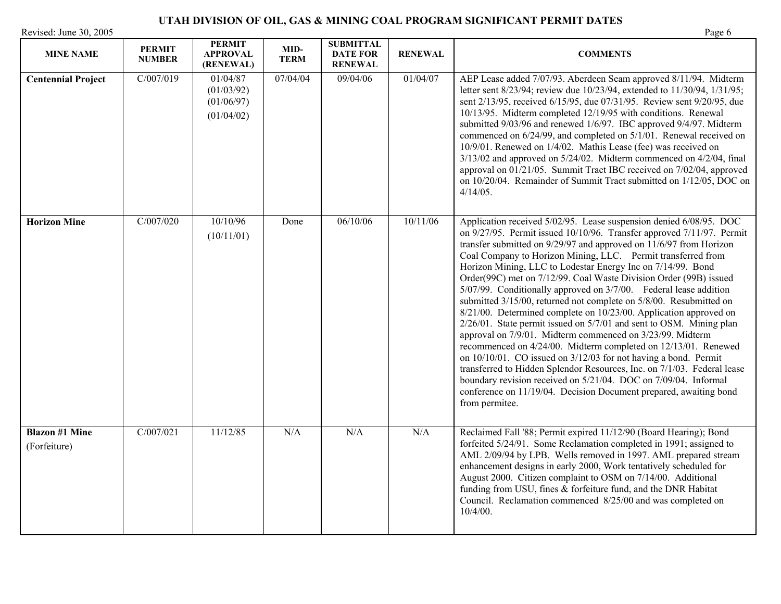| <b>MINE NAME</b>                      | <b>PERMIT</b><br><b>NUMBER</b> | <b>PERMIT</b><br><b>APPROVAL</b><br>(RENEWAL)      | MID-<br><b>TERM</b> | <b>SUBMITTAL</b><br><b>DATE FOR</b><br><b>RENEWAL</b> | <b>RENEWAL</b> | <b>COMMENTS</b>                                                                                                                                                                                                                                                                                                                                                                                                                                                                                                                                                                                                                                                                                                                                                                                                                                                                                                                                                                                                                                                                                                                                     |
|---------------------------------------|--------------------------------|----------------------------------------------------|---------------------|-------------------------------------------------------|----------------|-----------------------------------------------------------------------------------------------------------------------------------------------------------------------------------------------------------------------------------------------------------------------------------------------------------------------------------------------------------------------------------------------------------------------------------------------------------------------------------------------------------------------------------------------------------------------------------------------------------------------------------------------------------------------------------------------------------------------------------------------------------------------------------------------------------------------------------------------------------------------------------------------------------------------------------------------------------------------------------------------------------------------------------------------------------------------------------------------------------------------------------------------------|
| <b>Centennial Project</b>             | C/007/019                      | 01/04/87<br>(01/03/92)<br>(01/06/97)<br>(01/04/02) | 07/04/04            | 09/04/06                                              | 01/04/07       | AEP Lease added 7/07/93. Aberdeen Seam approved 8/11/94. Midterm<br>letter sent 8/23/94; review due 10/23/94, extended to 11/30/94, 1/31/95;<br>sent 2/13/95, received 6/15/95, due 07/31/95. Review sent 9/20/95, due<br>10/13/95. Midterm completed 12/19/95 with conditions. Renewal<br>submitted 9/03/96 and renewed 1/6/97. IBC approved 9/4/97. Midterm<br>commenced on 6/24/99, and completed on 5/1/01. Renewal received on<br>10/9/01. Renewed on 1/4/02. Mathis Lease (fee) was received on<br>$3/13/02$ and approved on $5/24/02$ . Midterm commenced on $4/2/04$ , final<br>approval on 01/21/05. Summit Tract IBC received on 7/02/04, approved<br>on 10/20/04. Remainder of Summit Tract submitted on 1/12/05, DOC on<br>$4/14/05$ .                                                                                                                                                                                                                                                                                                                                                                                                  |
| <b>Horizon Mine</b>                   | C/007/020                      | 10/10/96<br>(10/11/01)                             | Done                | 06/10/06                                              | 10/11/06       | Application received 5/02/95. Lease suspension denied 6/08/95. DOC<br>on 9/27/95. Permit issued 10/10/96. Transfer approved 7/11/97. Permit<br>transfer submitted on 9/29/97 and approved on 11/6/97 from Horizon<br>Coal Company to Horizon Mining, LLC. Permit transferred from<br>Horizon Mining, LLC to Lodestar Energy Inc on 7/14/99. Bond<br>Order(99C) met on 7/12/99. Coal Waste Division Order (99B) issued<br>5/07/99. Conditionally approved on 3/7/00. Federal lease addition<br>submitted 3/15/00, returned not complete on 5/8/00. Resubmitted on<br>8/21/00. Determined complete on 10/23/00. Application approved on<br>2/26/01. State permit issued on 5/7/01 and sent to OSM. Mining plan<br>approval on 7/9/01. Midterm commenced on 3/23/99. Midterm<br>recommenced on 4/24/00. Midterm completed on 12/13/01. Renewed<br>on 10/10/01. CO issued on 3/12/03 for not having a bond. Permit<br>transferred to Hidden Splendor Resources, Inc. on 7/1/03. Federal lease<br>boundary revision received on 5/21/04. DOC on 7/09/04. Informal<br>conference on 11/19/04. Decision Document prepared, awaiting bond<br>from permitee. |
| <b>Blazon #1 Mine</b><br>(Forfeiture) | C/007/021                      | 11/12/85                                           | N/A                 | N/A                                                   | N/A            | Reclaimed Fall '88; Permit expired 11/12/90 (Board Hearing); Bond<br>forfeited 5/24/91. Some Reclamation completed in 1991; assigned to<br>AML 2/09/94 by LPB. Wells removed in 1997. AML prepared stream<br>enhancement designs in early 2000, Work tentatively scheduled for<br>August 2000. Citizen complaint to OSM on 7/14/00. Additional<br>funding from USU, fines & forfeiture fund, and the DNR Habitat<br>Council. Reclamation commenced 8/25/00 and was completed on<br>$10/4/00$ .                                                                                                                                                                                                                                                                                                                                                                                                                                                                                                                                                                                                                                                      |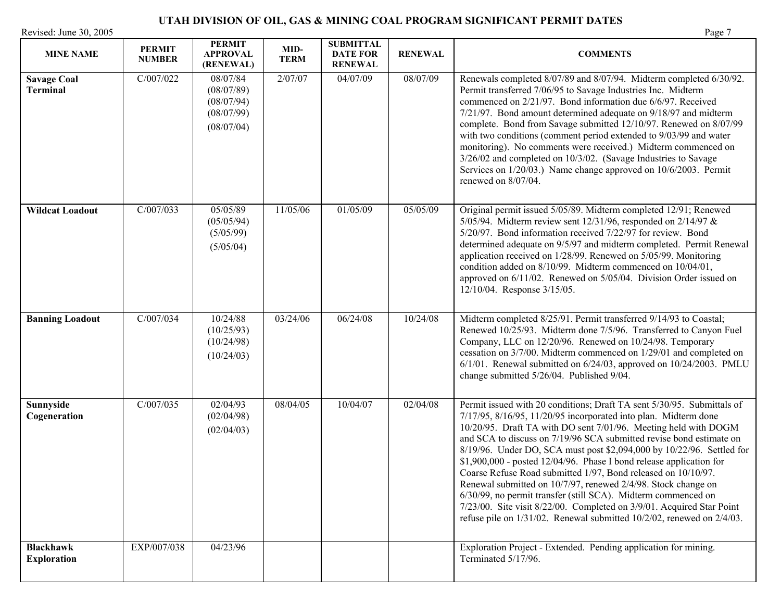| <b>MINE NAME</b>                       | <b>PERMIT</b><br><b>NUMBER</b> | <b>PERMIT</b><br><b>APPROVAL</b><br>(RENEWAL)                    | MID-<br><b>TERM</b> | <b>SUBMITTAL</b><br><b>DATE FOR</b><br><b>RENEWAL</b> | <b>RENEWAL</b> | <b>COMMENTS</b>                                                                                                                                                                                                                                                                                                                                                                                                                                                                                                                                                                                                                                                                                                                                                                                   |
|----------------------------------------|--------------------------------|------------------------------------------------------------------|---------------------|-------------------------------------------------------|----------------|---------------------------------------------------------------------------------------------------------------------------------------------------------------------------------------------------------------------------------------------------------------------------------------------------------------------------------------------------------------------------------------------------------------------------------------------------------------------------------------------------------------------------------------------------------------------------------------------------------------------------------------------------------------------------------------------------------------------------------------------------------------------------------------------------|
| <b>Savage Coal</b><br><b>Terminal</b>  | C/007/022                      | 08/07/84<br>(08/07/89)<br>(08/07/94)<br>(08/07/99)<br>(08/07/04) | 2/07/07             | 04/07/09                                              | 08/07/09       | Renewals completed 8/07/89 and 8/07/94. Midterm completed 6/30/92.<br>Permit transferred 7/06/95 to Savage Industries Inc. Midterm<br>commenced on 2/21/97. Bond information due 6/6/97. Received<br>7/21/97. Bond amount determined adequate on 9/18/97 and midterm<br>complete. Bond from Savage submitted 12/10/97. Renewed on 8/07/99<br>with two conditions (comment period extended to 9/03/99 and water<br>monitoring). No comments were received.) Midterm commenced on<br>3/26/02 and completed on 10/3/02. (Savage Industries to Savage<br>Services on 1/20/03.) Name change approved on 10/6/2003. Permit<br>renewed on 8/07/04.                                                                                                                                                       |
| <b>Wildcat Loadout</b>                 | C/007/033                      | 05/05/89<br>(05/05/94)<br>(5/05/99)<br>(5/05/04)                 | 11/05/06            | 01/05/09                                              | 05/05/09       | Original permit issued 5/05/89. Midterm completed 12/91; Renewed<br>5/05/94. Midterm review sent $12/31/96$ , responded on $2/14/97$ &<br>5/20/97. Bond information received 7/22/97 for review. Bond<br>determined adequate on 9/5/97 and midterm completed. Permit Renewal<br>application received on 1/28/99. Renewed on 5/05/99. Monitoring<br>condition added on 8/10/99. Midterm commenced on 10/04/01,<br>approved on 6/11/02. Renewed on 5/05/04. Division Order issued on<br>12/10/04. Response 3/15/05.                                                                                                                                                                                                                                                                                 |
| <b>Banning Loadout</b>                 | C/007/034                      | 10/24/88<br>(10/25/93)<br>(10/24/98)<br>(10/24/03)               | 03/24/06            | 06/24/08                                              | 10/24/08       | Midterm completed 8/25/91. Permit transferred 9/14/93 to Coastal;<br>Renewed 10/25/93. Midterm done 7/5/96. Transferred to Canyon Fuel<br>Company, LLC on 12/20/96. Renewed on 10/24/98. Temporary<br>cessation on 3/7/00. Midterm commenced on 1/29/01 and completed on<br>$6/1/01$ . Renewal submitted on $6/24/03$ , approved on $10/24/2003$ . PMLU<br>change submitted 5/26/04. Published 9/04.                                                                                                                                                                                                                                                                                                                                                                                              |
| Sunnyside<br>Cogeneration              | C/007/035                      | 02/04/93<br>(02/04/98)<br>(02/04/03)                             | 08/04/05            | 10/04/07                                              | 02/04/08       | Permit issued with 20 conditions; Draft TA sent 5/30/95. Submittals of<br>7/17/95, 8/16/95, 11/20/95 incorporated into plan. Midterm done<br>10/20/95. Draft TA with DO sent 7/01/96. Meeting held with DOGM<br>and SCA to discuss on 7/19/96 SCA submitted revise bond estimate on<br>8/19/96. Under DO, SCA must post \$2,094,000 by 10/22/96. Settled for<br>\$1,900,000 - posted 12/04/96. Phase I bond release application for<br>Coarse Refuse Road submitted 1/97, Bond released on 10/10/97.<br>Renewal submitted on 10/7/97, renewed 2/4/98. Stock change on<br>6/30/99, no permit transfer (still SCA). Midterm commenced on<br>7/23/00. Site visit 8/22/00. Completed on 3/9/01. Acquired Star Point<br>refuse pile on $1/31/02$ . Renewal submitted $10/2/02$ , renewed on $2/4/03$ . |
| <b>Blackhawk</b><br><b>Exploration</b> | EXP/007/038                    | 04/23/96                                                         |                     |                                                       |                | Exploration Project - Extended. Pending application for mining.<br>Terminated 5/17/96.                                                                                                                                                                                                                                                                                                                                                                                                                                                                                                                                                                                                                                                                                                            |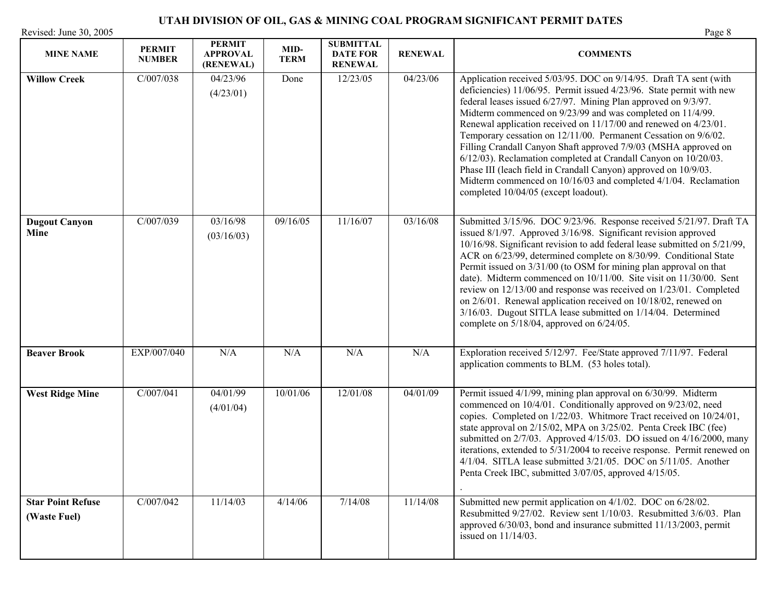| <b>MINE NAME</b>                         | <b>PERMIT</b><br><b>NUMBER</b> | PERMIT<br><b>APPROVAL</b><br>(RENEWAL) | MID-<br><b>TERM</b> | <b>SUBMITTAL</b><br><b>DATE FOR</b><br><b>RENEWAL</b> | <b>RENEWAL</b> | <b>COMMENTS</b>                                                                                                                                                                                                                                                                                                                                                                                                                                                                                                                                                                                                                                                                                                                      |
|------------------------------------------|--------------------------------|----------------------------------------|---------------------|-------------------------------------------------------|----------------|--------------------------------------------------------------------------------------------------------------------------------------------------------------------------------------------------------------------------------------------------------------------------------------------------------------------------------------------------------------------------------------------------------------------------------------------------------------------------------------------------------------------------------------------------------------------------------------------------------------------------------------------------------------------------------------------------------------------------------------|
| <b>Willow Creek</b>                      | C/007/038                      | 04/23/96<br>(4/23/01)                  | Done                | 12/23/05                                              | 04/23/06       | Application received 5/03/95. DOC on 9/14/95. Draft TA sent (with<br>deficiencies) 11/06/95. Permit issued 4/23/96. State permit with new<br>federal leases issued 6/27/97. Mining Plan approved on 9/3/97.<br>Midterm commenced on 9/23/99 and was completed on 11/4/99.<br>Renewal application received on 11/17/00 and renewed on 4/23/01.<br>Temporary cessation on 12/11/00. Permanent Cessation on 9/6/02.<br>Filling Crandall Canyon Shaft approved 7/9/03 (MSHA approved on<br>6/12/03). Reclamation completed at Crandall Canyon on 10/20/03.<br>Phase III (leach field in Crandall Canyon) approved on 10/9/03.<br>Midterm commenced on 10/16/03 and completed 4/1/04. Reclamation<br>completed 10/04/05 (except loadout). |
| <b>Dugout Canyon</b><br>Mine             | C/007/039                      | 03/16/98<br>(03/16/03)                 | 09/16/05            | 11/16/07                                              | 03/16/08       | Submitted 3/15/96. DOC 9/23/96. Response received 5/21/97. Draft TA<br>issued 8/1/97. Approved 3/16/98. Significant revision approved<br>10/16/98. Significant revision to add federal lease submitted on 5/21/99,<br>ACR on 6/23/99, determined complete on 8/30/99. Conditional State<br>Permit issued on 3/31/00 (to OSM for mining plan approval on that<br>date). Midterm commenced on 10/11/00. Site visit on 11/30/00. Sent<br>review on 12/13/00 and response was received on 1/23/01. Completed<br>on 2/6/01. Renewal application received on 10/18/02, renewed on<br>3/16/03. Dugout SITLA lease submitted on 1/14/04. Determined<br>complete on $5/18/04$ , approved on $6/24/05$ .                                       |
| <b>Beaver Brook</b>                      | EXP/007/040                    | N/A                                    | N/A                 | N/A                                                   | N/A            | Exploration received 5/12/97. Fee/State approved 7/11/97. Federal<br>application comments to BLM. (53 holes total).                                                                                                                                                                                                                                                                                                                                                                                                                                                                                                                                                                                                                  |
| <b>West Ridge Mine</b>                   | C/007/041                      | 04/01/99<br>(4/01/04)                  | 10/01/06            | 12/01/08                                              | 04/01/09       | Permit issued 4/1/99, mining plan approval on 6/30/99. Midterm<br>commenced on 10/4/01. Conditionally approved on 9/23/02, need<br>copies. Completed on 1/22/03. Whitmore Tract received on 10/24/01,<br>state approval on 2/15/02, MPA on 3/25/02. Penta Creek IBC (fee)<br>submitted on 2/7/03. Approved 4/15/03. DO issued on 4/16/2000, many<br>iterations, extended to 5/31/2004 to receive response. Permit renewed on<br>4/1/04. SITLA lease submitted 3/21/05. DOC on 5/11/05. Another<br>Penta Creek IBC, submitted 3/07/05, approved 4/15/05.                                                                                                                                                                              |
| <b>Star Point Refuse</b><br>(Waste Fuel) | C/007/042                      | 11/14/03                               | 4/14/06             | 7/14/08                                               | 11/14/08       | Submitted new permit application on 4/1/02. DOC on 6/28/02.<br>Resubmitted 9/27/02. Review sent 1/10/03. Resubmitted 3/6/03. Plan<br>approved 6/30/03, bond and insurance submitted 11/13/2003, permit<br>issued on $11/14/03$ .                                                                                                                                                                                                                                                                                                                                                                                                                                                                                                     |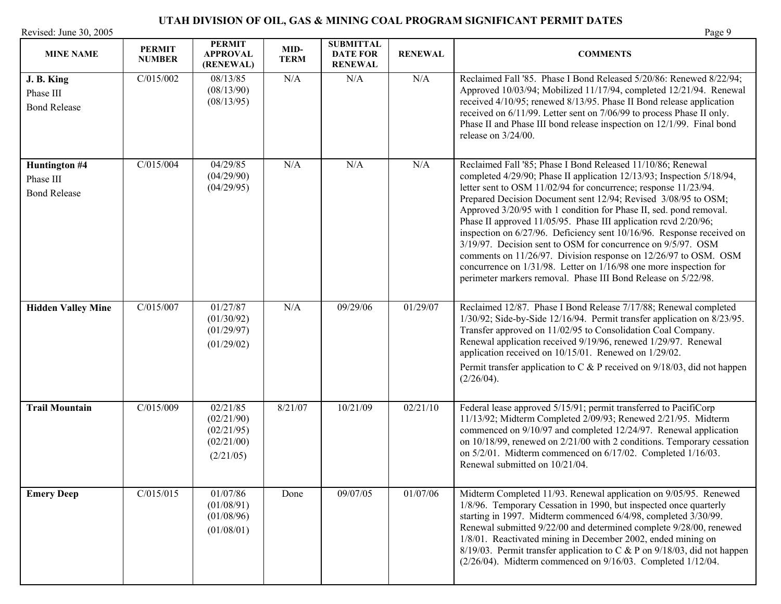## **UTAH DIVISION OF OIL, GAS & MINING COAL PROGRAM SIGNIFICANT PERMIT DATES**  Revised: June 30, 2005

| <b>MINE NAME</b>                                  | <b>PERMIT</b><br><b>NUMBER</b> | <b>PERMIT</b><br><b>APPROVAL</b><br>(RENEWAL)                   | MID-<br><b>TERM</b> | <b>SUBMITTAL</b><br><b>DATE FOR</b><br><b>RENEWAL</b> | <b>RENEWAL</b> | <b>COMMENTS</b>                                                                                                                                                                                                                                                                                                                                                                                                                                                                                                                                                                                                                                                                                                                                                      |
|---------------------------------------------------|--------------------------------|-----------------------------------------------------------------|---------------------|-------------------------------------------------------|----------------|----------------------------------------------------------------------------------------------------------------------------------------------------------------------------------------------------------------------------------------------------------------------------------------------------------------------------------------------------------------------------------------------------------------------------------------------------------------------------------------------------------------------------------------------------------------------------------------------------------------------------------------------------------------------------------------------------------------------------------------------------------------------|
| J. B. King<br>Phase III<br><b>Bond Release</b>    | C/015/002                      | 08/13/85<br>(08/13/90)<br>(08/13/95)                            | N/A                 | N/A                                                   | N/A            | Reclaimed Fall '85. Phase I Bond Released 5/20/86: Renewed 8/22/94;<br>Approved 10/03/94; Mobilized 11/17/94, completed 12/21/94. Renewal<br>received 4/10/95; renewed 8/13/95. Phase II Bond release application<br>received on 6/11/99. Letter sent on 7/06/99 to process Phase II only.<br>Phase II and Phase III bond release inspection on 12/1/99. Final bond<br>release on 3/24/00.                                                                                                                                                                                                                                                                                                                                                                           |
| Huntington #4<br>Phase III<br><b>Bond Release</b> | C/015/004                      | 04/29/85<br>(04/29/90)<br>(04/29/95)                            | N/A                 | N/A                                                   | N/A            | Reclaimed Fall '85; Phase I Bond Released 11/10/86; Renewal<br>completed 4/29/90; Phase II application 12/13/93; Inspection 5/18/94,<br>letter sent to OSM 11/02/94 for concurrence; response 11/23/94.<br>Prepared Decision Document sent 12/94; Revised 3/08/95 to OSM;<br>Approved 3/20/95 with 1 condition for Phase II, sed. pond removal.<br>Phase II approved 11/05/95. Phase III application rcvd 2/20/96;<br>inspection on 6/27/96. Deficiency sent 10/16/96. Response received on<br>3/19/97. Decision sent to OSM for concurrence on 9/5/97. OSM<br>comments on 11/26/97. Division response on 12/26/97 to OSM. OSM<br>concurrence on 1/31/98. Letter on 1/16/98 one more inspection for<br>perimeter markers removal. Phase III Bond Release on 5/22/98. |
| <b>Hidden Valley Mine</b>                         | C/015/007                      | 01/27/87<br>(01/30/92)<br>(01/29/97)<br>(01/29/02)              | N/A                 | 09/29/06                                              | 01/29/07       | Reclaimed 12/87. Phase I Bond Release 7/17/88; Renewal completed<br>1/30/92; Side-by-Side 12/16/94. Permit transfer application on 8/23/95.<br>Transfer approved on 11/02/95 to Consolidation Coal Company.<br>Renewal application received 9/19/96, renewed 1/29/97. Renewal<br>application received on 10/15/01. Renewed on 1/29/02.<br>Permit transfer application to C & P received on $9/18/03$ , did not happen<br>(2/26/04).                                                                                                                                                                                                                                                                                                                                  |
| <b>Trail Mountain</b>                             | C/015/009                      | 02/21/85<br>(02/21/90)<br>(02/21/95)<br>(02/21/00)<br>(2/21/05) | 8/21/07             | 10/21/09                                              | 02/21/10       | Federal lease approved 5/15/91; permit transferred to PacifiCorp<br>11/13/92; Midterm Completed 2/09/93; Renewed 2/21/95. Midterm<br>commenced on 9/10/97 and completed 12/24/97. Renewal application<br>on 10/18/99, renewed on 2/21/00 with 2 conditions. Temporary cessation<br>on 5/2/01. Midterm commenced on 6/17/02. Completed 1/16/03.<br>Renewal submitted on 10/21/04.                                                                                                                                                                                                                                                                                                                                                                                     |
| <b>Emery Deep</b>                                 | C/015/015                      | 01/07/86<br>(01/08/91)<br>(01/08/96)<br>(01/08/01)              | Done                | 09/07/05                                              | 01/07/06       | Midterm Completed 11/93. Renewal application on 9/05/95. Renewed<br>1/8/96. Temporary Cessation in 1990, but inspected once quarterly<br>starting in 1997. Midterm commenced 6/4/98, completed 3/30/99.<br>Renewal submitted 9/22/00 and determined complete 9/28/00, renewed<br>1/8/01. Reactivated mining in December 2002, ended mining on<br>8/19/03. Permit transfer application to C & P on 9/18/03, did not happen<br>$(2/26/04)$ . Midterm commenced on $9/16/03$ . Completed $1/12/04$ .                                                                                                                                                                                                                                                                    |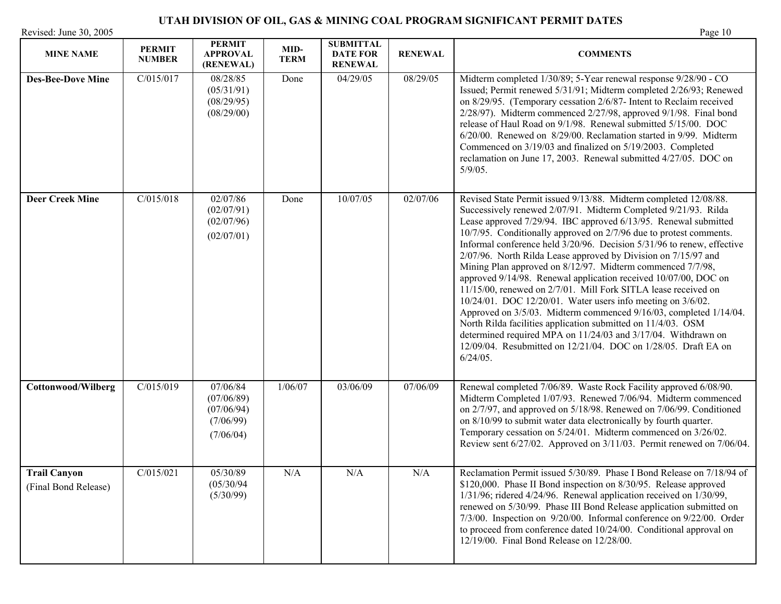| <b>MINE NAME</b>                            | <b>PERMIT</b><br><b>NUMBER</b> | <b>PERMIT</b><br><b>APPROVAL</b><br>(RENEWAL)                  | MID-<br><b>TERM</b> | <b>SUBMITTAL</b><br><b>DATE FOR</b><br><b>RENEWAL</b> | <b>RENEWAL</b> | <b>COMMENTS</b>                                                                                                                                                                                                                                                                                                                                                                                                                                                                                                                                                                                                                                                                                                                                                                                                                                                                                                                                                                  |
|---------------------------------------------|--------------------------------|----------------------------------------------------------------|---------------------|-------------------------------------------------------|----------------|----------------------------------------------------------------------------------------------------------------------------------------------------------------------------------------------------------------------------------------------------------------------------------------------------------------------------------------------------------------------------------------------------------------------------------------------------------------------------------------------------------------------------------------------------------------------------------------------------------------------------------------------------------------------------------------------------------------------------------------------------------------------------------------------------------------------------------------------------------------------------------------------------------------------------------------------------------------------------------|
| <b>Des-Bee-Dove Mine</b>                    | C/015/017                      | 08/28/85<br>(05/31/91)<br>(08/29/95)<br>(08/29/00)             | Done                | 04/29/05                                              | 08/29/05       | Midterm completed 1/30/89; 5-Year renewal response 9/28/90 - CO<br>Issued; Permit renewed 5/31/91; Midterm completed 2/26/93; Renewed<br>on 8/29/95. (Temporary cessation 2/6/87- Intent to Reclaim received<br>$2/28/97$ ). Midterm commenced $2/27/98$ , approved $9/1/98$ . Final bond<br>release of Haul Road on 9/1/98. Renewal submitted 5/15/00. DOC<br>6/20/00. Renewed on 8/29/00. Reclamation started in 9/99. Midterm<br>Commenced on 3/19/03 and finalized on 5/19/2003. Completed<br>reclamation on June 17, 2003. Renewal submitted 4/27/05. DOC on<br>$5/9/05$ .                                                                                                                                                                                                                                                                                                                                                                                                  |
| <b>Deer Creek Mine</b>                      | C/015/018                      | 02/07/86<br>(02/07/91)<br>(02/07/96)<br>(02/07/01)             | Done                | 10/07/05                                              | 02/07/06       | Revised State Permit issued 9/13/88. Midterm completed 12/08/88.<br>Successively renewed 2/07/91. Midterm Completed 9/21/93. Rilda<br>Lease approved 7/29/94. IBC approved 6/13/95. Renewal submitted<br>10/7/95. Conditionally approved on 2/7/96 due to protest comments.<br>Informal conference held 3/20/96. Decision 5/31/96 to renew, effective<br>2/07/96. North Rilda Lease approved by Division on 7/15/97 and<br>Mining Plan approved on 8/12/97. Midterm commenced 7/7/98,<br>approved 9/14/98. Renewal application received 10/07/00, DOC on<br>11/15/00, renewed on 2/7/01. Mill Fork SITLA lease received on<br>10/24/01. DOC 12/20/01. Water users info meeting on 3/6/02.<br>Approved on 3/5/03. Midterm commenced 9/16/03, completed 1/14/04.<br>North Rilda facilities application submitted on 11/4/03. OSM<br>determined required MPA on 11/24/03 and 3/17/04. Withdrawn on<br>12/09/04. Resubmitted on 12/21/04. DOC on 1/28/05. Draft EA on<br>$6/24/05$ . |
| <b>Cottonwood/Wilberg</b>                   | C/015/019                      | 07/06/84<br>(07/06/89)<br>(07/06/94)<br>(7/06/99)<br>(7/06/04) | 1/06/07             | 03/06/09                                              | 07/06/09       | Renewal completed 7/06/89. Waste Rock Facility approved 6/08/90.<br>Midterm Completed 1/07/93. Renewed 7/06/94. Midterm commenced<br>on 2/7/97, and approved on 5/18/98. Renewed on 7/06/99. Conditioned<br>on 8/10/99 to submit water data electronically by fourth quarter.<br>Temporary cessation on 5/24/01. Midterm commenced on 3/26/02.<br>Review sent 6/27/02. Approved on 3/11/03. Permit renewed on 7/06/04.                                                                                                                                                                                                                                                                                                                                                                                                                                                                                                                                                           |
| <b>Trail Canyon</b><br>(Final Bond Release) | C/015/021                      | 05/30/89<br>(05/30/94)<br>(5/30/99)                            | N/A                 | N/A                                                   | N/A            | Reclamation Permit issued 5/30/89. Phase I Bond Release on 7/18/94 of<br>\$120,000. Phase II Bond inspection on 8/30/95. Release approved<br>$1/31/96$ ; ridered $4/24/96$ . Renewal application received on $1/30/99$ ,<br>renewed on 5/30/99. Phase III Bond Release application submitted on<br>7/3/00. Inspection on 9/20/00. Informal conference on 9/22/00. Order<br>to proceed from conference dated 10/24/00. Conditional approval on<br>12/19/00. Final Bond Release on 12/28/00.                                                                                                                                                                                                                                                                                                                                                                                                                                                                                       |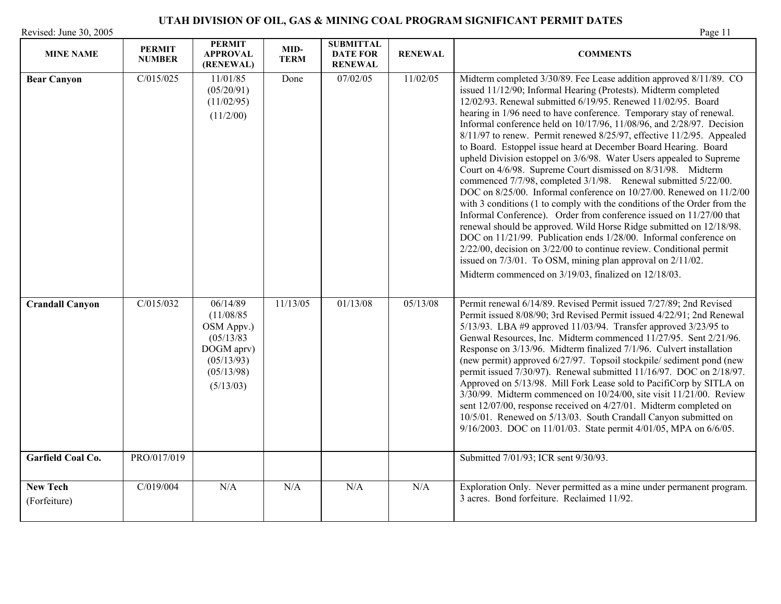|  |  | D. |
|--|--|----|
|  |  |    |

| <b>MINE NAME</b>                | <b>PERMIT</b><br><b>NUMBER</b> | <b>PERMIT</b><br><b>APPROVAL</b><br>(RENEWAL)                                                             | MID-<br><b>TERM</b> | <b>SUBMITTAL</b><br><b>DATE FOR</b><br><b>RENEWAL</b> | <b>RENEWAL</b> | <b>COMMENTS</b>                                                                                                                                                                                                                                                                                                                                                                                                                                                                                                                                                                                                                                                                                                                                                                                                                                                                                                                                                                                                                                                                                                                                                                                                                                                                         |
|---------------------------------|--------------------------------|-----------------------------------------------------------------------------------------------------------|---------------------|-------------------------------------------------------|----------------|-----------------------------------------------------------------------------------------------------------------------------------------------------------------------------------------------------------------------------------------------------------------------------------------------------------------------------------------------------------------------------------------------------------------------------------------------------------------------------------------------------------------------------------------------------------------------------------------------------------------------------------------------------------------------------------------------------------------------------------------------------------------------------------------------------------------------------------------------------------------------------------------------------------------------------------------------------------------------------------------------------------------------------------------------------------------------------------------------------------------------------------------------------------------------------------------------------------------------------------------------------------------------------------------|
| <b>Bear Canyon</b>              | C/015/025                      | 11/01/85<br>(05/20/91)<br>(11/02/95)<br>(11/2/00)                                                         | Done                | 07/02/05                                              | 11/02/05       | Midterm completed 3/30/89. Fee Lease addition approved 8/11/89. CO<br>issued 11/12/90; Informal Hearing (Protests). Midterm completed<br>12/02/93. Renewal submitted 6/19/95. Renewed 11/02/95. Board<br>hearing in 1/96 need to have conference. Temporary stay of renewal.<br>Informal conference held on 10/17/96, 11/08/96, and 2/28/97. Decision<br>$8/11/97$ to renew. Permit renewed $8/25/97$ , effective 11/2/95. Appealed<br>to Board. Estoppel issue heard at December Board Hearing. Board<br>upheld Division estoppel on 3/6/98. Water Users appealed to Supreme<br>Court on 4/6/98. Supreme Court dismissed on 8/31/98. Midterm<br>commenced 7/7/98, completed 3/1/98. Renewal submitted 5/22/00.<br>DOC on 8/25/00. Informal conference on 10/27/00. Renewed on 11/2/00<br>with 3 conditions (1 to comply with the conditions of the Order from the<br>Informal Conference). Order from conference issued on 11/27/00 that<br>renewal should be approved. Wild Horse Ridge submitted on 12/18/98.<br>DOC on 11/21/99. Publication ends 1/28/00. Informal conference on<br>$2/22/00$ , decision on $3/22/00$ to continue review. Conditional permit<br>issued on 7/3/01. To OSM, mining plan approval on 2/11/02.<br>Midterm commenced on 3/19/03, finalized on 12/18/03. |
| <b>Crandall Canyon</b>          | C/015/032                      | 06/14/89<br>(11/08/85)<br>OSM Appv.)<br>(05/13/83)<br>DOGM aprv)<br>(05/13/93)<br>(05/13/98)<br>(5/13/03) | 11/13/05            | 01/13/08                                              | 05/13/08       | Permit renewal 6/14/89. Revised Permit issued 7/27/89; 2nd Revised<br>Permit issued 8/08/90; 3rd Revised Permit issued 4/22/91; 2nd Renewal<br>5/13/93. LBA #9 approved 11/03/94. Transfer approved 3/23/95 to<br>Genwal Resources, Inc. Midterm commenced 11/27/95. Sent 2/21/96.<br>Response on 3/13/96. Midterm finalized 7/1/96. Culvert installation<br>(new permit) approved 6/27/97. Topsoil stockpile/ sediment pond (new<br>permit issued 7/30/97). Renewal submitted 11/16/97. DOC on 2/18/97.<br>Approved on 5/13/98. Mill Fork Lease sold to PacifiCorp by SITLA on<br>$3/30/99$ . Midterm commenced on $10/24/00$ , site visit $11/21/00$ . Review<br>sent 12/07/00, response received on 4/27/01. Midterm completed on<br>10/5/01. Renewed on 5/13/03. South Crandall Canyon submitted on<br>9/16/2003. DOC on 11/01/03. State permit 4/01/05, MPA on 6/6/05.                                                                                                                                                                                                                                                                                                                                                                                                             |
| Garfield Coal Co.               | PRO/017/019                    |                                                                                                           |                     |                                                       |                | Submitted 7/01/93; ICR sent 9/30/93.                                                                                                                                                                                                                                                                                                                                                                                                                                                                                                                                                                                                                                                                                                                                                                                                                                                                                                                                                                                                                                                                                                                                                                                                                                                    |
| <b>New Tech</b><br>(Forfeiture) | C/019/004                      | N/A                                                                                                       | N/A                 | N/A                                                   | N/A            | Exploration Only. Never permitted as a mine under permanent program.<br>3 acres. Bond forfeiture. Reclaimed 11/92.                                                                                                                                                                                                                                                                                                                                                                                                                                                                                                                                                                                                                                                                                                                                                                                                                                                                                                                                                                                                                                                                                                                                                                      |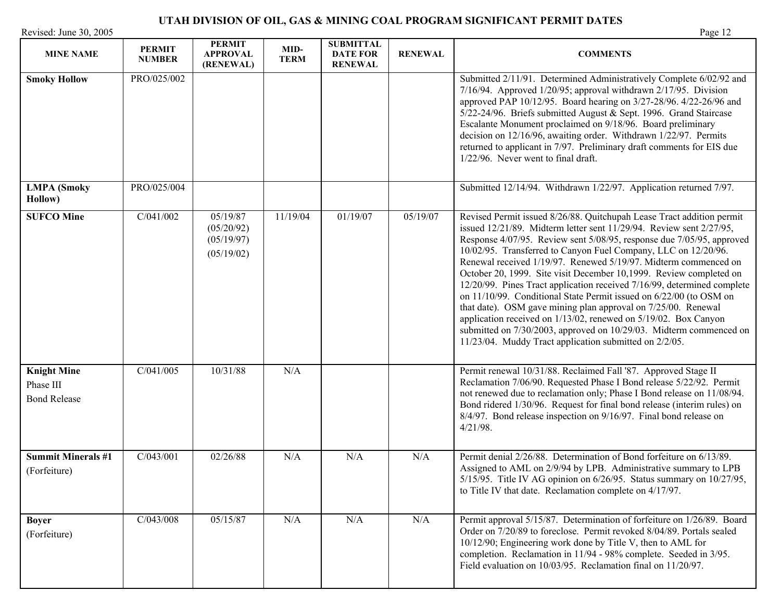|                        | -UTAH DIVISION OF OIL, GAS & MINING COAL PROGRAM SIGNIFICANT PERMIT DATES |         |
|------------------------|---------------------------------------------------------------------------|---------|
| Revised: June 30, 2005 |                                                                           | Page 12 |

| <b>MINE NAME</b>                                       | <b>PERMIT</b><br><b>NUMBER</b> | <b>PERMIT</b><br><b>APPROVAL</b><br>(RENEWAL)      | MID-<br><b>TERM</b> | <b>SUBMITTAL</b><br><b>DATE FOR</b><br><b>RENEWAL</b> | <b>RENEWAL</b> | <b>COMMENTS</b>                                                                                                                                                                                                                                                                                                                                                                                                                                                                                                                                                                                                                                                                                                                                                                                                                                       |
|--------------------------------------------------------|--------------------------------|----------------------------------------------------|---------------------|-------------------------------------------------------|----------------|-------------------------------------------------------------------------------------------------------------------------------------------------------------------------------------------------------------------------------------------------------------------------------------------------------------------------------------------------------------------------------------------------------------------------------------------------------------------------------------------------------------------------------------------------------------------------------------------------------------------------------------------------------------------------------------------------------------------------------------------------------------------------------------------------------------------------------------------------------|
| <b>Smoky Hollow</b>                                    | PRO/025/002                    |                                                    |                     |                                                       |                | Submitted 2/11/91. Determined Administratively Complete 6/02/92 and<br>7/16/94. Approved 1/20/95; approval withdrawn 2/17/95. Division<br>approved PAP 10/12/95. Board hearing on 3/27-28/96. 4/22-26/96 and<br>5/22-24/96. Briefs submitted August & Sept. 1996. Grand Staircase<br>Escalante Monument proclaimed on 9/18/96. Board preliminary<br>decision on 12/16/96, awaiting order. Withdrawn 1/22/97. Permits<br>returned to applicant in 7/97. Preliminary draft comments for EIS due<br>$1/22/96$ . Never went to final draft.                                                                                                                                                                                                                                                                                                               |
| <b>LMPA</b> (Smoky<br>Hollow)                          | PRO/025/004                    |                                                    |                     |                                                       |                | Submitted 12/14/94. Withdrawn 1/22/97. Application returned 7/97.                                                                                                                                                                                                                                                                                                                                                                                                                                                                                                                                                                                                                                                                                                                                                                                     |
| <b>SUFCO Mine</b>                                      | C/041/002                      | 05/19/87<br>(05/20/92)<br>(05/19/97)<br>(05/19/02) | 11/19/04            | 01/19/07                                              | 05/19/07       | Revised Permit issued 8/26/88. Quitchupah Lease Tract addition permit<br>issued 12/21/89. Midterm letter sent 11/29/94. Review sent 2/27/95,<br>Response 4/07/95. Review sent 5/08/95, response due 7/05/95, approved<br>10/02/95. Transferred to Canyon Fuel Company, LLC on 12/20/96.<br>Renewal received 1/19/97. Renewed 5/19/97. Midterm commenced on<br>October 20, 1999. Site visit December 10,1999. Review completed on<br>12/20/99. Pines Tract application received 7/16/99, determined complete<br>on 11/10/99. Conditional State Permit issued on 6/22/00 (to OSM on<br>that date). OSM gave mining plan approval on 7/25/00. Renewal<br>application received on 1/13/02, renewed on 5/19/02. Box Canyon<br>submitted on 7/30/2003, approved on 10/29/03. Midterm commenced on<br>11/23/04. Muddy Tract application submitted on 2/2/05. |
| <b>Knight Mine</b><br>Phase III<br><b>Bond Release</b> | C/041/005                      | 10/31/88                                           | N/A                 |                                                       |                | Permit renewal 10/31/88. Reclaimed Fall '87. Approved Stage II<br>Reclamation 7/06/90. Requested Phase I Bond release 5/22/92. Permit<br>not renewed due to reclamation only; Phase I Bond release on 11/08/94.<br>Bond ridered 1/30/96. Request for final bond release (interim rules) on<br>8/4/97. Bond release inspection on 9/16/97. Final bond release on<br>$4/21/98$ .                                                                                                                                                                                                                                                                                                                                                                                                                                                                        |
| <b>Summit Minerals #1</b><br>(Forfeiture)              | C/043/001                      | 02/26/88                                           | N/A                 | N/A                                                   | N/A            | Permit denial 2/26/88. Determination of Bond forfeiture on 6/13/89.<br>Assigned to AML on 2/9/94 by LPB. Administrative summary to LPB<br>5/15/95. Title IV AG opinion on 6/26/95. Status summary on 10/27/95,<br>to Title IV that date. Reclamation complete on 4/17/97.                                                                                                                                                                                                                                                                                                                                                                                                                                                                                                                                                                             |
| <b>Boyer</b><br>(Forfeiture)                           | C/043/008                      | 05/15/87                                           | N/A                 | N/A                                                   | N/A            | Permit approval 5/15/87. Determination of forfeiture on 1/26/89. Board<br>Order on 7/20/89 to foreclose. Permit revoked 8/04/89. Portals sealed<br>10/12/90; Engineering work done by Title V, then to AML for<br>completion. Reclamation in 11/94 - 98% complete. Seeded in 3/95.<br>Field evaluation on 10/03/95. Reclamation final on 11/20/97.                                                                                                                                                                                                                                                                                                                                                                                                                                                                                                    |